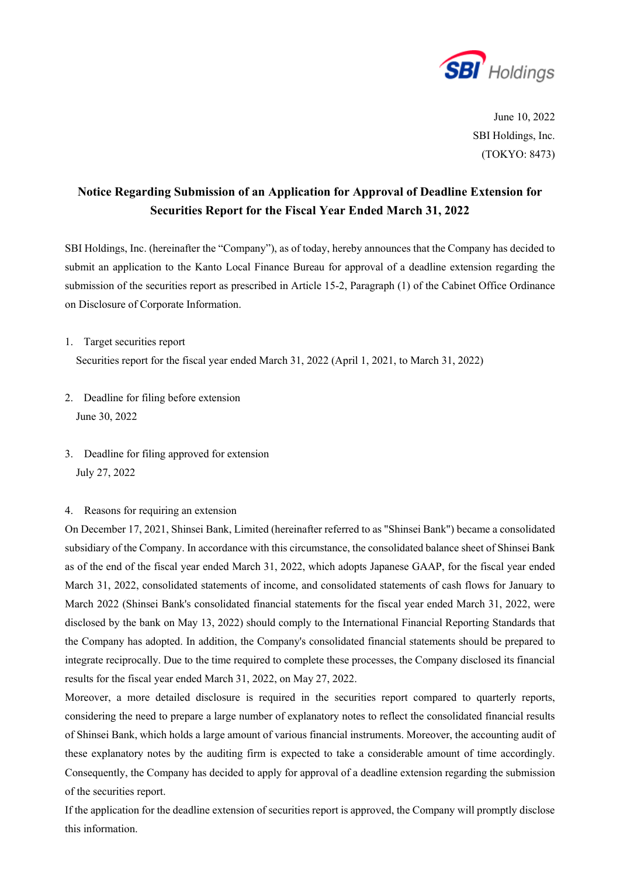

June 10, 2022 SBI Holdings, Inc. (TOKYO: 8473)

## **Notice Regarding Submission of an Application for Approval of Deadline Extension for Securities Report for the Fiscal Year Ended March 31, 2022**

SBI Holdings, Inc. (hereinafter the "Company"), as of today, hereby announces that the Company has decided to submit an application to the Kanto Local Finance Bureau for approval of a deadline extension regarding the submission of the securities report as prescribed in Article 15-2, Paragraph (1) of the Cabinet Office Ordinance on Disclosure of Corporate Information.

1. Target securities report

Securities report for the fiscal year ended March 31, 2022 (April 1, 2021, to March 31, 2022)

- 2. Deadline for filing before extension June 30, 2022
- 3. Deadline for filing approved for extension July 27, 2022
- 4. Reasons for requiring an extension

On December 17, 2021, Shinsei Bank, Limited (hereinafter referred to as "Shinsei Bank") became a consolidated subsidiary of the Company. In accordance with this circumstance, the consolidated balance sheet of Shinsei Bank as of the end of the fiscal year ended March 31, 2022, which adopts Japanese GAAP, for the fiscal year ended March 31, 2022, consolidated statements of income, and consolidated statements of cash flows for January to March 2022 (Shinsei Bank's consolidated financial statements for the fiscal year ended March 31, 2022, were disclosed by the bank on May 13, 2022) should comply to the International Financial Reporting Standards that the Company has adopted. In addition, the Company's consolidated financial statements should be prepared to integrate reciprocally. Due to the time required to complete these processes, the Company disclosed its financial results for the fiscal year ended March 31, 2022, on May 27, 2022.

Moreover, a more detailed disclosure is required in the securities report compared to quarterly reports, considering the need to prepare a large number of explanatory notes to reflect the consolidated financial results of Shinsei Bank, which holds a large amount of various financial instruments. Moreover, the accounting audit of these explanatory notes by the auditing firm is expected to take a considerable amount of time accordingly. Consequently, the Company has decided to apply for approval of a deadline extension regarding the submission of the securities report.

If the application for the deadline extension of securities report is approved, the Company will promptly disclose this information.